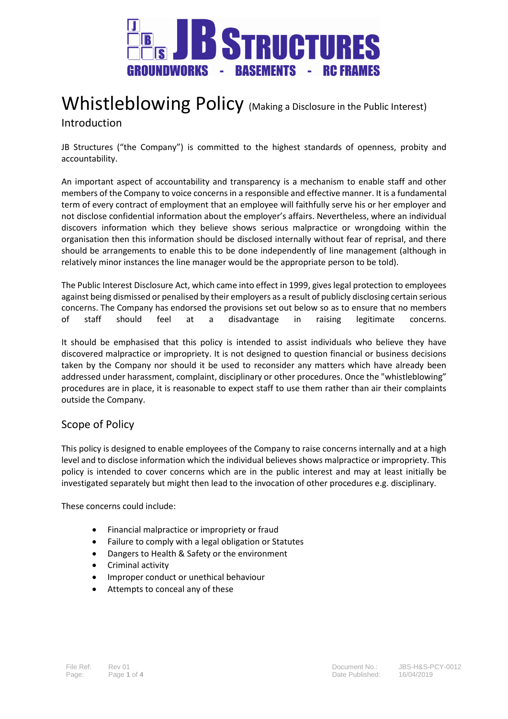

# Whistleblowing Policy (Making a Disclosure in the Public Interest) Introduction

JB Structures ("the Company") is committed to the highest standards of openness, probity and accountability.

An important aspect of accountability and transparency is a mechanism to enable staff and other members of the Company to voice concerns in a responsible and effective manner. It is a fundamental term of every contract of employment that an employee will faithfully serve his or her employer and not disclose confidential information about the employer's affairs. Nevertheless, where an individual discovers information which they believe shows serious malpractice or wrongdoing within the organisation then this information should be disclosed internally without fear of reprisal, and there should be arrangements to enable this to be done independently of line management (although in relatively minor instances the line manager would be the appropriate person to be told).

The Public Interest Disclosure Act, which came into effect in 1999, gives legal protection to employees against being dismissed or penalised by their employers as a result of publicly disclosing certain serious concerns. The Company has endorsed the provisions set out below so as to ensure that no members of staff should feel at a disadvantage in raising legitimate concerns.

It should be emphasised that this policy is intended to assist individuals who believe they have discovered malpractice or impropriety. It is not designed to question financial or business decisions taken by the Company nor should it be used to reconsider any matters which have already been addressed under harassment, complaint, disciplinary or other procedures. Once the "whistleblowing" procedures are in place, it is reasonable to expect staff to use them rather than air their complaints outside the Company.

## Scope of Policy

This policy is designed to enable employees of the Company to raise concerns internally and at a high level and to disclose information which the individual believes shows malpractice or impropriety. This policy is intended to cover concerns which are in the public interest and may at least initially be investigated separately but might then lead to the invocation of other procedures e.g. disciplinary.

These concerns could include:

- Financial malpractice or impropriety or fraud
- Failure to comply with a legal obligation or Statutes
- Dangers to Health & Safety or the environment
- Criminal activity
- Improper conduct or unethical behaviour
- Attempts to conceal any of these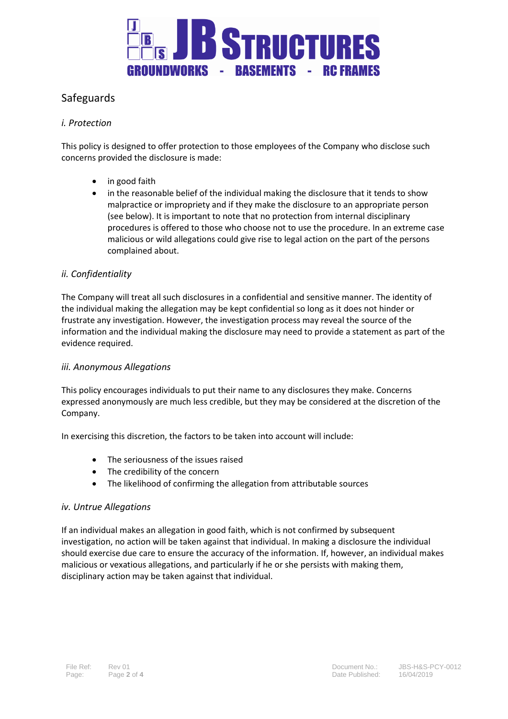

## Safeguards

## *i. Protection*

This policy is designed to offer protection to those employees of the Company who disclose such concerns provided the disclosure is made:

- in good faith
- in the reasonable belief of the individual making the disclosure that it tends to show malpractice or impropriety and if they make the disclosure to an appropriate person (see below). It is important to note that no protection from internal disciplinary procedures is offered to those who choose not to use the procedure. In an extreme case malicious or wild allegations could give rise to legal action on the part of the persons complained about.

#### *ii. Confidentiality*

The Company will treat all such disclosures in a confidential and sensitive manner. The identity of the individual making the allegation may be kept confidential so long as it does not hinder or frustrate any investigation. However, the investigation process may reveal the source of the information and the individual making the disclosure may need to provide a statement as part of the evidence required.

#### *iii. Anonymous Allegations*

This policy encourages individuals to put their name to any disclosures they make. Concerns expressed anonymously are much less credible, but they may be considered at the discretion of the Company.

In exercising this discretion, the factors to be taken into account will include:

- The seriousness of the issues raised
- The credibility of the concern
- The likelihood of confirming the allegation from attributable sources

#### *iv. Untrue Allegations*

If an individual makes an allegation in good faith, which is not confirmed by subsequent investigation, no action will be taken against that individual. In making a disclosure the individual should exercise due care to ensure the accuracy of the information. If, however, an individual makes malicious or vexatious allegations, and particularly if he or she persists with making them, disciplinary action may be taken against that individual.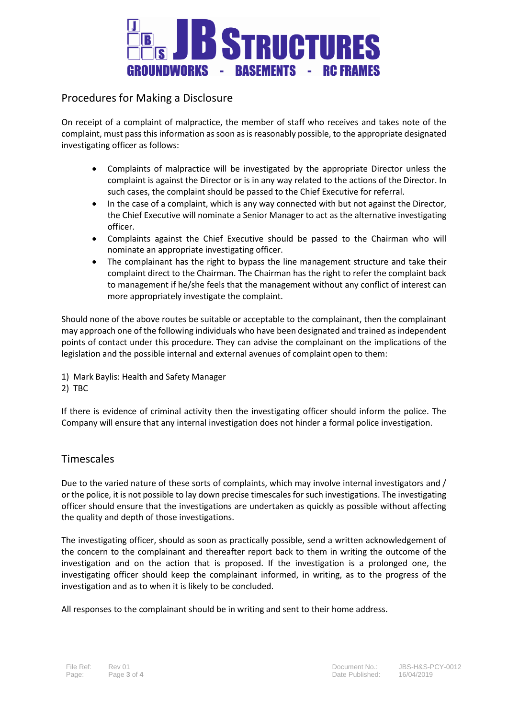

## Procedures for Making a Disclosure

On receipt of a complaint of malpractice, the member of staff who receives and takes note of the complaint, must pass this information as soon as is reasonably possible, to the appropriate designated investigating officer as follows:

- Complaints of malpractice will be investigated by the appropriate Director unless the complaint is against the Director or is in any way related to the actions of the Director. In such cases, the complaint should be passed to the Chief Executive for referral.
- In the case of a complaint, which is any way connected with but not against the Director, the Chief Executive will nominate a Senior Manager to act as the alternative investigating officer.
- Complaints against the Chief Executive should be passed to the Chairman who will nominate an appropriate investigating officer.
- The complainant has the right to bypass the line management structure and take their complaint direct to the Chairman. The Chairman has the right to refer the complaint back to management if he/she feels that the management without any conflict of interest can more appropriately investigate the complaint.

Should none of the above routes be suitable or acceptable to the complainant, then the complainant may approach one of the following individuals who have been designated and trained as independent points of contact under this procedure. They can advise the complainant on the implications of the legislation and the possible internal and external avenues of complaint open to them:

- 1) Mark Baylis: Health and Safety Manager
- 2) TBC

If there is evidence of criminal activity then the investigating officer should inform the police. The Company will ensure that any internal investigation does not hinder a formal police investigation.

## **Timescales**

Due to the varied nature of these sorts of complaints, which may involve internal investigators and / or the police, it is not possible to lay down precise timescales for such investigations. The investigating officer should ensure that the investigations are undertaken as quickly as possible without affecting the quality and depth of those investigations.

The investigating officer, should as soon as practically possible, send a written acknowledgement of the concern to the complainant and thereafter report back to them in writing the outcome of the investigation and on the action that is proposed. If the investigation is a prolonged one, the investigating officer should keep the complainant informed, in writing, as to the progress of the investigation and as to when it is likely to be concluded.

All responses to the complainant should be in writing and sent to their home address.